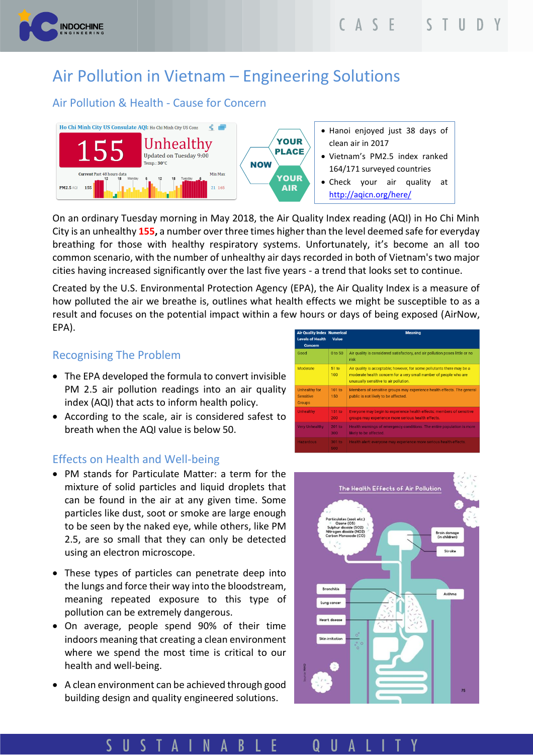

# Air Pollution in Vietnam – Engineering Solutions

## Air Pollution & Health - Cause for Concern



On an ordinary Tuesday morning in May 2018, the Air Quality Index reading (AQI) in Ho Chi Minh City is an unhealthy **155,** a number over three times higher than the level deemed safe for everyday breathing for those with healthy respiratory systems. Unfortunately, it's become an all too common scenario, with the number of unhealthy air days recorded in both of Vietnam's two major cities having increased significantly over the last five years - a trend that looks set to continue.

Created by the U.S. Environmental Protection Agency (EPA), the Air Quality Index is a measure of how polluted the air we breathe is, outlines what health effects we might be susceptible to as a result and focuses on the potential impact within a few hours or days of being exposed (AirNow, EPA).

### Recognising The Problem

- The EPA developed the formula to convert invisible PM 2.5 air pollution readings into an air quality index (AQI) that acts to inform health policy.
- According to the scale, air is considered safest to breath when the AQI value is below 50.

#### Effects on Health and Well-being

- PM stands for Particulate Matter: a term for the mixture of solid particles and liquid droplets that can be found in the air at any given time. Some particles like dust, soot or smoke are large enough to be seen by the naked eye, while others, like PM 2.5, are so small that they can only be detected using an electron microscope.
- These types of particles can penetrate deep into the lungs and force their way into the bloodstream, meaning repeated exposure to this type of pollution can be extremely dangerous.
- On average, people spend 90% of their time indoors meaning that creating a clean environment where we spend the most time is critical to our health and well-being.
- A clean environment can be achieved through good building design and quality engineered solutions.

| <b>Air Quality Index Numerical</b>                        |               | <b>Meaning</b>                                                                                                                                                                       |
|-----------------------------------------------------------|---------------|--------------------------------------------------------------------------------------------------------------------------------------------------------------------------------------|
| <b>Levels of Health</b><br><b>Concern</b>                 | Value         |                                                                                                                                                                                      |
| Good                                                      | 0 to 50       | Air quality is considered satisfactory, and air pollution poses little or no<br>risk                                                                                                 |
| Moderate                                                  | 51 to<br>100  | Air quality is acceptable; however, for some pollutants there may be a<br>moderate health concern for a very small number of people who are<br>unusually sensitive to air pollution. |
| <b>Unhealthy for</b><br><b>Sensitive</b><br><b>Groups</b> | 101 to<br>150 | Members of sensitive groups may experience health effects. The general<br>public is not likely to be affected.                                                                       |
| <b>Unhealthy</b>                                          | 151 to<br>200 | Everyone may begin to experience health effects; members of sensitive<br>groups may experience more serious health effects.                                                          |
| <b>Very Unhealthy</b>                                     | 201 to<br>300 | Health warnings of emergency conditions. The entire population is more<br>likely to be affected.                                                                                     |
| <b>Hazardous</b>                                          | 301 to<br>500 | Health alert: everyone may experience more serious health effects.                                                                                                                   |



USTAINAB U A Q